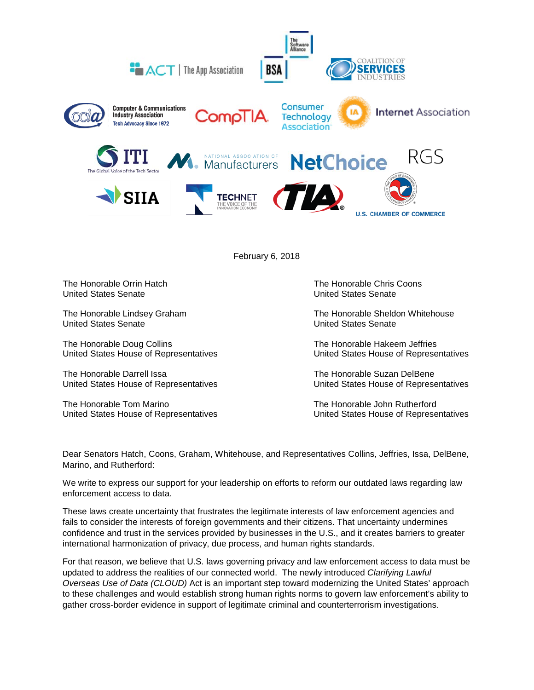

February 6, 2018

The Honorable Orrin Hatch The Honorable Chris Coons<br>
United States Senate<br>
United States Senate

**United States Senate** 

The Honorable Doug Collins<br>
United States House of Representatives<br>
United States House of Representatives<br>
United States House of Representatives United States House of Representatives

The Honorable Darrell Issa<br>
United States House of Representatives<br>
United States House of Representatives<br>
United States House of Representatives

The Honorable Tom Marino The Honorable John Rutherford

**United States Senate** 

The Honorable Lindsey Graham The Honorable Sheldon Whitehouse<br>
United States Senate<br>
United States Senate

United States House of Representatives

United States House of Representatives United States House of Representatives

Dear Senators Hatch, Coons, Graham, Whitehouse, and Representatives Collins, Jeffries, Issa, DelBene, Marino, and Rutherford:

We write to express our support for your leadership on efforts to reform our outdated laws regarding law enforcement access to data.

These laws create uncertainty that frustrates the legitimate interests of law enforcement agencies and fails to consider the interests of foreign governments and their citizens. That uncertainty undermines confidence and trust in the services provided by businesses in the U.S., and it creates barriers to greater international harmonization of privacy, due process, and human rights standards.

For that reason, we believe that U.S. laws governing privacy and law enforcement access to data must be updated to address the realities of our connected world. The newly introduced *Clarifying Lawful Overseas Use of Data (CLOUD)* Act is an important step toward modernizing the United States' approach to these challenges and would establish strong human rights norms to govern law enforcement's ability to gather cross-border evidence in support of legitimate criminal and counterterrorism investigations.